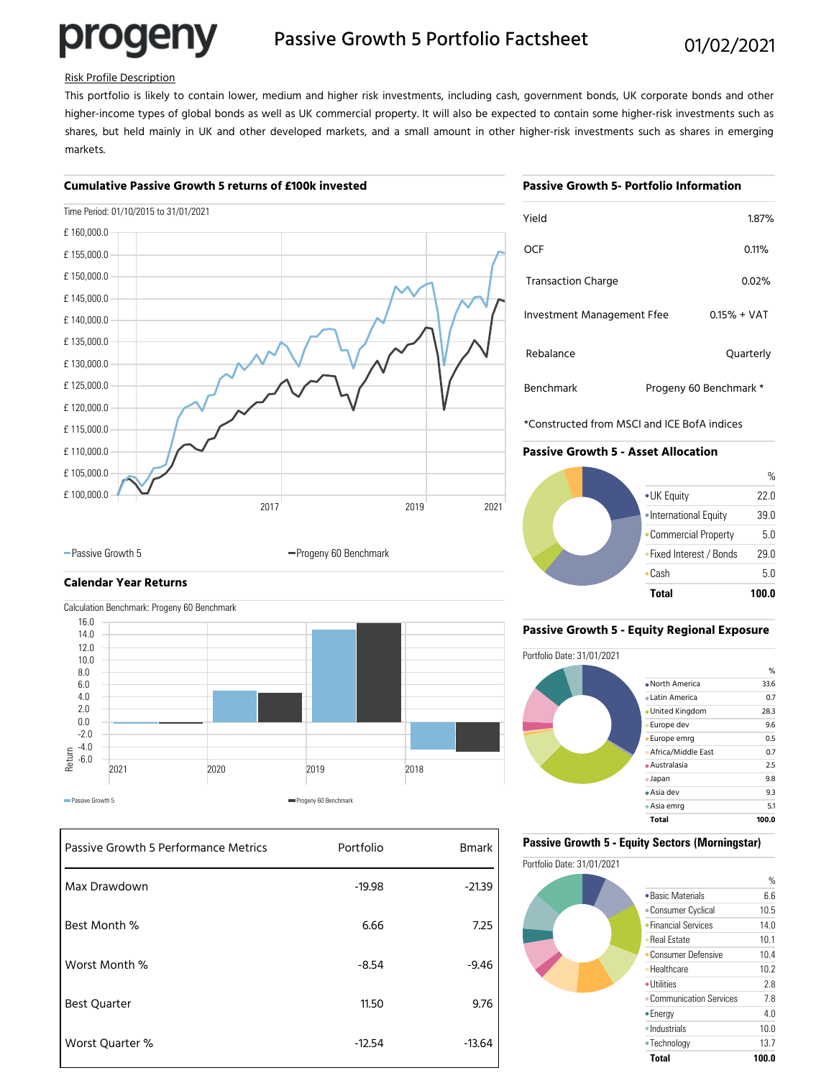# progeny

### Passive Growth 5 Portfolio Factsheet 01/02/2021

#### Risk Profile Description

This portfolio is likely to contain lower, medium and higher risk investments, including cash, government bonds, UK corporate bonds and other higher-income types of global bonds as well as UK commercial property. It will also be expected to contain some higher-risk investments such as shares, but held mainly in UK and other developed markets, and a small amount in other higher-risk investments such as shares in emerging markets.

#### **Cumulative Passive Growth 5 returns of £100k invested**

#### **Passive Growth 5- Portfolio Information**

|             | Time Period: 01/10/2015 to 31/01/2021 |      |      |
|-------------|---------------------------------------|------|------|
| £160,000.0  |                                       |      |      |
| £ 155,000.0 |                                       |      |      |
| £150,000.0  |                                       |      |      |
| £145,000.0  |                                       |      |      |
| £140,000.0  |                                       |      |      |
| £135,000.0  |                                       |      |      |
| £130,000.0  |                                       |      |      |
| £125,000.0  |                                       |      |      |
| £120,000.0  |                                       |      |      |
| £115,000.0  |                                       |      |      |
| £110,000.0  |                                       |      |      |
| £ 105,000.0 |                                       |      |      |
| £ 100,000.0 |                                       |      |      |
|             | 2017                                  | 2019 | 2021 |

| Yield                             | 1.87%                  |
|-----------------------------------|------------------------|
| OCF                               | 0.11%                  |
| <b>Transaction Charge</b>         | 0.02%                  |
| <b>Investment Management Ffee</b> | $0.15% + VAT$          |
| Rebalance                         | Quarterly              |
| <b>Benchmark</b>                  | Progeny 60 Benchmark * |

\*Constructed from MSCI and ICE BofA indices

#### **Passive Growth 5 - Asset Allocation**



## **Calendar Year Returns**



-Passive Growth 5 Progeny 60 Benchmark

#### Passive Growth 5 Performance Metrics Portfolio Portfolio Max Drawdown Best Month % Worst Month % Best Quarter Worst Quarter % -19.98 6.66 -8.54 11.50 -12.54 -21.39 7.25 -9.46 9.76 -13.64

#### **Passive Growth 5 - Equity Regional Exposure**



#### **Passive Growth 5 - Equity Sectors (Morningstar)**